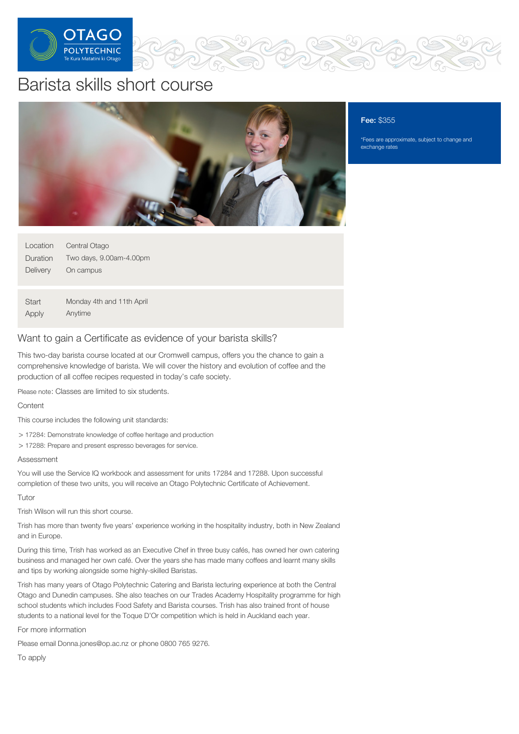

# Barista skills short course



## Fee: \$355

\*Fees are approximate, subject to change and exchange rates

| Location | Central Otago             |
|----------|---------------------------|
| Duration | Two days, 9.00am-4.00pm   |
| Delivery | On campus                 |
|          |                           |
| Start    | Monday 4th and 11th April |
| Apply    | Anytime                   |

# Want to gain a Certificate as evidence of your barista skills?

This two-day barista course located at our Cromwell campus, offers you the chance to gain a comprehensive knowledge of barista. We will cover the history and evolution of coffee and the production of all coffee recipes requested in today's cafe society.

Please note: Classes are limited to six students.

## **Content**

This course includes the following unit standards:

> 17284: Demonstrate knowledge of coffee heritage and production

> 17288: Prepare and present espresso beverages for service.

#### Assessment

You will use the Service IQ workbook and assessment for units 17284 and 17288. Upon successful completion of these two units, you will receive an Otago Polytechnic Certificate of Achievement.

#### Tutor

Trish Wilson will run this short course.

Trish has more than twenty five years' experience working in the hospitality industry, both in New Zealand and in Europe.

During this time, Trish has worked as an Executive Chef in three busy cafés, has owned her own catering business and managed her own café. Over the years she has made many coffees and learnt many skills and tips by working alongside some highly-skilled Baristas.

Trish has many years of Otago Polytechnic Catering and Barista lecturing experience at both the Central Otago and Dunedin campuses. She also teaches on our Trades Academy Hospitality programme for high school students which includes Food Safety and Barista courses. Trish has also trained front of house students to a national level for the Toque D'Or competition which is held in Auckland each year.

For more information

Please email Donna.jones@op.ac.nz or phone 0800 765 9276.

To apply